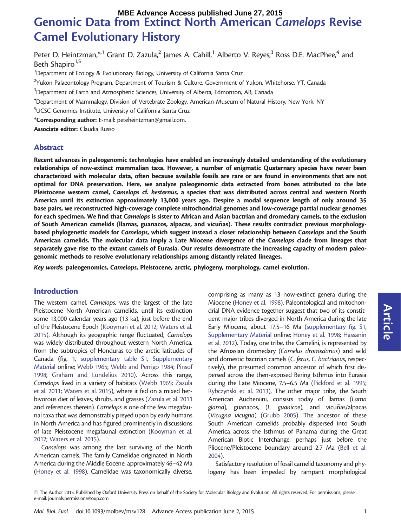# Genomic Data from Extinct North American Camelops Revise Camel Evolutionary History **MBE Advance Access published June 27, 2015**

Peter D. Heintzman,\*<sup>1</sup> Grant D. Zazula,<sup>2</sup> James A. Cahill,<sup>1</sup> Alberto V. Reyes,<sup>3</sup> Ross D.E. MacPhee,<sup>4</sup> and Beth Shapiro $1,5$ 

<sup>1</sup>Department of Ecology & Evolutionary Biology, University of California Santa Cruz

 $^2$ Yukon Palaeontology Program, Department of Tourism & Culture, Government of Yukon, Whitehorse, YT, Canada

 $^3$ Department of Earth and Atmospheric Sciences, University of Alberta, Edmonton, AB, Canada

4 Department of Mammalogy, Division of Vertebrate Zoology, American Museum of Natural History, New York, NY

5 UCSC Genomics Institute, University of California Santa Cruz

\*Corresponding author: E-mail: peteheintzman@gmail.com.

Associate editor: Claudia Russo

## Abstract

Recent advances in paleogenomic technologies have enabled an increasingly detailed understanding of the evolutionary relationships of now-extinct mammalian taxa. However, a number of enigmatic Quaternary species have never been characterized with molecular data, often because available fossils are rare or are found in environments that are not optimal for DNA preservation. Here, we analyze paleogenomic data extracted from bones attributed to the late Pleistocene western camel, Camelops cf. hesternus, a species that was distributed across central and western North America until its extinction approximately 13,000 years ago. Despite a modal sequence length of only around 35 base pairs, we reconstructed high-coverage complete mitochondrial genomes and low-coverage partial nuclear genomes for each specimen. We find that Camelops is sister to African and Asian bactrian and dromedary camels, to the exclusion of South American camelids (llamas, guanacos, alpacas, and vicuñas). These results contradict previous morphologybased phylogenetic models for Camelops, which suggest instead a closer relationship between Camelops and the South American camelids. The molecular data imply a Late Miocene divergence of the Camelops clade from lineages that separately gave rise to the extant camels of Eurasia. Our results demonstrate the increasing capacity of modern paleogenomic methods to resolve evolutionary relationships among distantly related lineages.

Key words: paleogenomics, Camelops, Pleistocene, arctic, phylogeny, morphology, camel evolution.

# Introduction

The western camel, Camelops, was the largest of the late Pleistocene North American camelids, until its extinction some 13,000 calendar years ago (13 ka), just before the end of the Pleistocene Epoch [\(Kooyman et al. 2012](#page-6-0); [Waters et al.](#page-7-0) [2015\)](#page-7-0). Although its geographic range fluctuated, Camelops was widely distributed throughout western North America, from the subtropics of Honduras to the arctic latitudes of Canada [\(fig. 1,](#page-1-0) [supplementary table S1,](http://mbe.oxfordjournals.org/lookup/suppl/doi:10.1093/molbev/msv128/-/DC1) [Supplementary](http://mbe.oxfordjournals.org/lookup/suppl/doi:10.1093/molbev/msv128/-/DC1) [Material](http://mbe.oxfordjournals.org/lookup/suppl/doi:10.1093/molbev/msv128/-/DC1) online; [Webb 1965;](#page-7-0) [Webb and Perrigo 1984;](#page-7-0) [Pinsof](#page-7-0) [1998;](#page-7-0) [Graham and Lundelius 2010](#page-6-0)). Across this range, Camelops lived in a variety of habitats ([Webb 1965](#page-7-0); [Zazula](#page-7-0) [et al. 2011](#page-7-0); [Waters et al. 2015](#page-7-0)), where it fed on a mixed herbivorous diet of leaves, shrubs, and grasses [\(Zazula et al. 2011](#page-7-0) and references therein). Camelops is one of the few megafaunal taxa that was demonstrably preyed upon by early humans in North America and has figured prominently in discussions of late Pleistocene megafaunal extinction ([Kooyman et al.](#page-6-0) [2012;](#page-6-0) [Waters et al. 2015\)](#page-7-0).

Camelops was among the last surviving of the North American camels. The family Camelidae originated in North America during the Middle Eocene, approximately 46–42 Ma ([Honey et al. 1998](#page-6-0)). Camelidae was taxonomically diverse,

comprising as many as 13 now-extinct genera during the Miocene [\(Honey et al. 1998\)](#page-6-0). Paleontological and mitochondrial DNA evidence together suggest that two of its constituent major tribes diverged in North America during the late Early Miocene, about 17.5–16 Ma ([supplementary fig. S1,](http://mbe.oxfordjournals.org/lookup/suppl/doi:10.1093/molbev/msv128/-/DC1) [Supplementary Material](http://mbe.oxfordjournals.org/lookup/suppl/doi:10.1093/molbev/msv128/-/DC1) online; [Honey et al. 1998;](#page-6-0) [Hassanin](#page-6-0) [et al. 2012\)](#page-6-0). Today, one tribe, the Camelini, is represented by the Afroasian dromedary (Camelus dromedarius) and wild and domestic bactrian camels (C. ferus, C. bactrianus, respectively), the presumed common ancestor of which first dispersed across the then-exposed Bering Isthmus into Eurasia during the Late Miocene, 7.5–6.5 Ma [\(Pickford et al. 1995;](#page-7-0) [Rybczynski et al. 2013\)](#page-7-0), The other major tribe, the South American Aucheniini, consists today of llamas (Lama  $g$ lama), guanacos,  $(L. g)$ uanicoe), and vicuñas/alpacas (Vicugna vicugna) [\(Grubb 2005\)](#page-6-0). The ancestor of these South American camelids probably dispersed into South America across the Isthmus of Panama during the Great American Biotic Interchange, perhaps just before the Pliocene/Pleistocene boundary around 2.7 Ma [\(Bell et al.](#page-6-0) [2004\)](#page-6-0).

Satisfactory resolution of fossil camelid taxonomy and phylogeny has been impeded by rampant morphological

 $\odot$  The Author 2015. Published by Oxford University Press on behalf of the Society for Molecular Biology and Evolution. All rights reserved. For permissions, please e-mail: journals.permissions@oup.com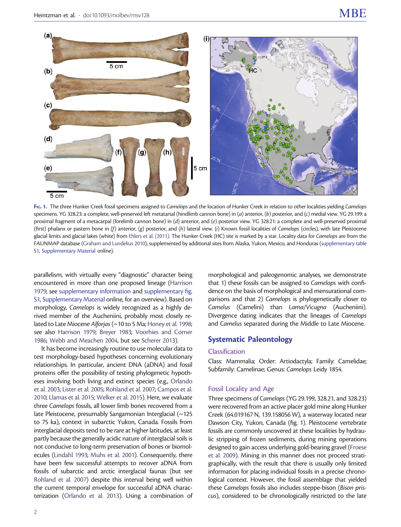<span id="page-1-0"></span>

FIG. 1. The three Hunker Creek fossil specimens assigned to Camelops and the location of Hunker Creek in relation to other localities yielding Camelops specimens. YG 328.23: a complete, well-preserved left metatarsal (hindlimb cannon bone) in (a) anterior, (b) posterior, and (c) medial view. YG 29.199: a proximal fragment of a metacarpal (forelimb cannon bone) in (d) anterior, and (e) posterior view. YG 328.21: a complete and well-preserved proximal (first) phalanx or pastern bone in (f) anterior, (g) posterior, and (h) lateral view. (i) Known fossil localities of Camelops (circles), with late Pleistocene glacial limits and glacial lakes (white) from [Ehlers et al. \(2011\)](#page-6-0). The Hunker Creek (HC) site is marked by a star. Locality data for Camelops are from the FAUNMAP database [\(Graham and Lundelius 2010](#page-6-0)), supplemented by additional sites from Alaska, Yukon, Mexico, and Honduras [\(supplementary table](http://mbe.oxfordjournals.org/lookup/suppl/doi:10.1093/molbev/msv128/-/DC1) [S1,](http://mbe.oxfordjournals.org/lookup/suppl/doi:10.1093/molbev/msv128/-/DC1) [Supplementary Material](http://mbe.oxfordjournals.org/lookup/suppl/doi:10.1093/molbev/msv128/-/DC1) online).

parallelism, with virtually every "diagnostic" character being encountered in more than one proposed lineage ([Harrison](#page-6-0) [1979;](#page-6-0) see [supplementary information](http://mbe.oxfordjournals.org/lookup/suppl/doi:10.1093/molbev/msv128/-/DC1) and [supplementary fig.](http://mbe.oxfordjournals.org/lookup/suppl/doi:10.1093/molbev/msv128/-/DC1) [S1](http://mbe.oxfordjournals.org/lookup/suppl/doi:10.1093/molbev/msv128/-/DC1), [Supplementary Material](http://mbe.oxfordjournals.org/lookup/suppl/doi:10.1093/molbev/msv128/-/DC1) online, for an overview). Based on morphology, Camelops is widely recognized as a highly derived member of the Aucheniini, probably most closely re-lated to Late Miocene Alforjas (~10 to 5 Ma; [Honey et al. 1998;](#page-6-0) see also [Harrison 1979;](#page-6-0) [Breyer 1983](#page-6-0); [Voorhies and Corner](#page-7-0) [1986;](#page-7-0) [Webb and Meachen 2004,](#page-7-0) but see [Scherer 2013](#page-7-0)).

It has become increasingly routine to use molecular data to test morphology-based hypotheses concerning evolutionary relationships. In particular, ancient DNA (aDNA) and fossil proteins offer the possibility of testing phylogenetic hypotheses involving both living and extinct species (e.g., [Orlando](#page-7-0) [et al. 2003;](#page-7-0) [Lister et al. 2005](#page-6-0); [Rohland et al. 2007](#page-7-0); [Campos et al.](#page-6-0) [2010;](#page-6-0) [Llamas et al. 2015;](#page-6-0) [Welker et al. 2015](#page-7-0)). Here, we evaluate three Camelops fossils, all lower limb bones recovered from a late Pleistocene, presumably Sangamonian Interglacial (~125 to 75 ka), context in subarctic Yukon, Canada. Fossils from interglacial deposits tend to be rare at higher latitudes, at least partly because the generally acidic nature of interglacial soils is not conducive to long-term preservation of bones or biomolecules [\(Lindahl 1993;](#page-6-0) [Muhs et al. 2001\)](#page-7-0). Consequently, there have been few successful attempts to recover aDNA from fossils of subarctic and arctic interglacial faunas (but see [Rohland et al. 2007](#page-7-0)) despite this interval being well within the current temporal envelope for successful aDNA characterization [\(Orlando et al. 2013\)](#page-7-0). Using a combination of morphological and paleogenomic analyses, we demonstrate that 1) these fossils can be assigned to Camelops with confidence on the basis of morphological and mensurational comparisons and that 2) Camelops is phylogenetically closer to Camelus (Camelini) than Lama/Vicugna (Aucheniini). Divergence dating indicates that the lineages of Camelops and Camelus separated during the Middle to Late Miocene.

# Systematic Paleontology

#### Classification

Class: Mammalia; Order: Artiodactyla; Family: Camelidae; Subfamily: Camelinae; Genus: Camelops Leidy 1854.

#### Fossil Locality and Age

Three specimens of Camelops (YG 29.199, 328.21, and 328.23) were recovered from an active placer gold mine along Hunker Creek (64.019167 N, 139.158056 W), a waterway located near Dawson City, Yukon, Canada (fig. 1). Pleistocene vertebrate fossils are commonly uncovered at these localities by hydraulic stripping of frozen sediments, during mining operations designed to gain access underlying gold-bearing gravel [\(Froese](#page-6-0) [et al. 2009\)](#page-6-0). Mining in this manner does not proceed stratigraphically, with the result that there is usually only limited information for placing individual fossils in a precise chronological context. However, the fossil assemblage that yielded these Camelops fossils also includes steppe-bison (Bison priscus), considered to be chronologically restricted to the late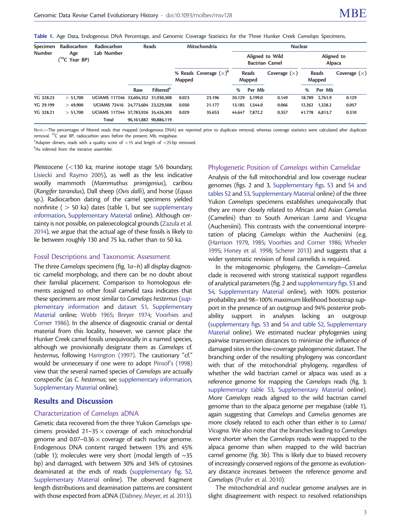Table 1. Age Data, Endogenous DNA Percentage, and Genomic Coverage Statistics for the Three Hunker Creek Camelops Specimens.

| Specimen<br><b>Number</b> | Radiocarbon<br>Age<br>$(^{14}C$ Year BP) | Radiocarbon<br>Lab Number           |     | Reads                 | Mitochondria |                          | <b>Nuclear</b>                           |         |                |                      |         |                |
|---------------------------|------------------------------------------|-------------------------------------|-----|-----------------------|--------------|--------------------------|------------------------------------------|---------|----------------|----------------------|---------|----------------|
|                           |                                          |                                     |     |                       |              |                          | Aligned to Wild<br><b>Bactrian Camel</b> |         |                | Aligned to<br>Alpaca |         |                |
|                           |                                          |                                     |     |                       | Mapped       | % Reads Coverage $(x)^p$ | Reads<br>Mapped                          |         | Coverage $(x)$ | Reads<br>Mapped      |         | Coverage $(x)$ |
|                           |                                          |                                     | Raw | Filtered <sup>a</sup> |              |                          | %                                        | Per Mb  |                | %                    | Per Mb  |                |
| YG 328.23                 | > 51,700                                 | UCIAMS 117246 33,604,352 31,930,308 |     |                       | 0.023        | 23.196                   | 20.129                                   | 3.199.0 | 0.149          | 18.789               | 2.761.9 | 0.129          |
| YG 29.199                 | >49.900                                  | UCIAMS 72416 24.773.604 23.529.508  |     |                       | 0.030        | 21.177                   | 13.185                                   | 1.544.0 | 0.066          | 12.262               | 1,328.2 | 0.057          |
| <b>YG 328.21</b>          | > 51,700                                 | UCIAMS 117244 37.783.926 35.426.303 |     |                       | 0.029        | 35.653                   | 44.647                                   | 7.872.2 | 0.357          | 41.778               | 6.813.7 | 0.310          |
|                           |                                          | Total                               |     | 96,161,882 90,886,119 |              |                          |                                          |         |                |                      |         |                |

NOTE-The percentages of filtered reads that mapped (endogenous DNA) are reported prior to duplicate removal, whereas coverage statistics were calculated after duplicate removal. <sup>14</sup>C year BP, radiocarbon years before the present; Mb, megabase.

 $^{\text{a}}$ Adapter dimers, reads with a quality score of  $<$ 15 and length of  $<$ 25 bp removed.

bAs inferred from the iterative assembler.

Pleistocene (<130 ka; marine isotope stage 5/6 boundary; [Lisiecki and Raymo 2005\)](#page-6-0), as well as the less indicative woolly mammoth (Mammuthus primigenius), caribou (Rangifer tarandus), Dall sheep (Ovis dalli), and horse (Equus sp.). Radiocarbon dating of the camel specimens yielded nonfinite ( $>50$  ka) dates (table 1, but see [supplementary](http://mbe.oxfordjournals.org/lookup/suppl/doi:10.1093/molbev/msv128/-/DC1) [information,](http://mbe.oxfordjournals.org/lookup/suppl/doi:10.1093/molbev/msv128/-/DC1) [Supplementary Material](http://mbe.oxfordjournals.org/lookup/suppl/doi:10.1093/molbev/msv128/-/DC1) online). Although certainty is not possible, on paleoecological grounds [\(Zazula et al.](#page-7-0) [2014\)](#page-7-0), we argue that the actual age of these fossils is likely to lie between roughly 130 and 75 ka, rather than to 50 ka.

#### Fossil Descriptions and Taxonomic Assessment

The three Camelops specimens [\(fig. 1](#page-1-0)a–h) all display diagnostic camelid morphology, and there can be no doubt about their familial placement. Comparison to homologous elements assigned to other fossil camelid taxa indicates that these specimens are most similar to Camelops hesternus [\(sup](http://mbe.oxfordjournals.org/lookup/suppl/doi:10.1093/molbev/msv128/-/DC1)[plementary information](http://mbe.oxfordjournals.org/lookup/suppl/doi:10.1093/molbev/msv128/-/DC1) and [dataset S1,](http://mbe.oxfordjournals.org/lookup/suppl/doi:10.1093/molbev/msv128/-/DC1) [Supplementary](http://mbe.oxfordjournals.org/lookup/suppl/doi:10.1093/molbev/msv128/-/DC1) [Material](http://mbe.oxfordjournals.org/lookup/suppl/doi:10.1093/molbev/msv128/-/DC1) online; [Webb 1965](#page-7-0); [Breyer 1974](#page-6-0); [Voorhies and](#page-7-0) [Corner 1986\)](#page-7-0). In the absence of diagnostic cranial or dental material from this locality, however, we cannot place the Hunker Creek camel fossils unequivocally in a named species, although we provisionally designate them as Camelops cf. hesternus, following [Harington \(1997\)](#page-6-0). The cautionary "cf." would be unnecessary if one were to adopt [Pinsof's \(1998\)](#page-7-0) view that the several named species of Camelops are actually conspecific (as C. hesternus; see [supplementary information,](http://mbe.oxfordjournals.org/lookup/suppl/doi:10.1093/molbev/msv128/-/DC1) [Supplementary Material](http://mbe.oxfordjournals.org/lookup/suppl/doi:10.1093/molbev/msv128/-/DC1) online).

#### Results and Discussion

#### Characterization of Camelops aDNA

Genetic data recovered from the three Yukon Camelops specimens provided  $21-35 \times$  coverage of each mitochondrial genome and 0.07–0.36  $\times$  coverage of each nuclear genome. Endogenous DNA content ranged between 13% and 45% (table 1); molecules were very short (modal length of  $\sim$ 35 bp) and damaged, with between 30% and 34% of cytosines deaminated at the ends of reads [\(supplementary fig. S2,](http://mbe.oxfordjournals.org/lookup/suppl/doi:10.1093/molbev/msv128/-/DC1) [Supplementary Material](http://mbe.oxfordjournals.org/lookup/suppl/doi:10.1093/molbev/msv128/-/DC1) online). The observed fragment length distributions and deamination patterns are consistent with those expected from aDNA ([Dabney, Meyer, et al. 2013\)](#page-6-0).

## Phylogenetic Position of Camelops within Camelidae

Analysis of the full mitochondrial and low coverage nuclear genomes ([figs. 2](#page-3-0) and [3](#page-3-0), [Supplementary figs. S3](http://mbe.oxfordjournals.org/lookup/suppl/doi:10.1093/molbev/msv128/-/DC1) and [S4 and](http://mbe.oxfordjournals.org/lookup/suppl/doi:10.1093/molbev/msv128/-/DC1) [tables S2](http://mbe.oxfordjournals.org/lookup/suppl/doi:10.1093/molbev/msv128/-/DC1) and [S3,](http://mbe.oxfordjournals.org/lookup/suppl/doi:10.1093/molbev/msv128/-/DC1) [Supplementary Material](http://mbe.oxfordjournals.org/lookup/suppl/doi:10.1093/molbev/msv128/-/DC1) online) of the three Yukon Camelops specimens establishes unequivocally that they are more closely related to African and Asian Camelus (Camelini) than to South American Lama and Vicugna (Aucheniini). This contrasts with the conventional interpretation of placing Camelops within the Aucheniini (e.g. [\(Harrison 1979](#page-6-0), [1985;](#page-6-0) [Voorhies and Corner 1986](#page-7-0); [Wheeler](#page-7-0) [1995;](#page-7-0) [Honey et al. 1998;](#page-6-0) [Scherer 2013\)](#page-7-0) and suggests that a wider systematic revision of fossil camelids is required.

In the mitogenomic phylogeny, the Camelops–Camelus clade is recovered with strong statistical support regardless of analytical parameters ([fig. 2](#page-3-0) and [supplementary figs. S3](http://mbe.oxfordjournals.org/lookup/suppl/doi:10.1093/molbev/msv128/-/DC1) and [S4](http://mbe.oxfordjournals.org/lookup/suppl/doi:10.1093/molbev/msv128/-/DC1), [Supplementary Material](http://mbe.oxfordjournals.org/lookup/suppl/doi:10.1093/molbev/msv128/-/DC1) online), with 100% posterior probability and 98–100% maximum likelihood bootstrap support in the presence of an outgroup and 94% posterior probability support in analyses lacking an outgroup [\(supplementary figs. S3](http://mbe.oxfordjournals.org/lookup/suppl/doi:10.1093/molbev/msv128/-/DC1) and [S4 and table S2,](http://mbe.oxfordjournals.org/lookup/suppl/doi:10.1093/molbev/msv128/-/DC1) [Supplementary](http://mbe.oxfordjournals.org/lookup/suppl/doi:10.1093/molbev/msv128/-/DC1) [Material](http://mbe.oxfordjournals.org/lookup/suppl/doi:10.1093/molbev/msv128/-/DC1) online). We estimated nuclear phylogenies using pairwise transversion distances to minimize the influence of damaged sites in the low-coverage paleogenomic dataset. The branching order of the resulting phylogeny was concordant with that of the mitochondrial phylogeny, regardless of whether the wild bactrian camel or alpaca was used as a reference genome for mapping the Camelops reads [\(fig. 3;](#page-3-0) [supplementary table S3](http://mbe.oxfordjournals.org/lookup/suppl/doi:10.1093/molbev/msv128/-/DC1), [Supplementary Material](http://mbe.oxfordjournals.org/lookup/suppl/doi:10.1093/molbev/msv128/-/DC1) online). More Camelops reads aligned to the wild bactrian camel genome than to the alpaca genome per megabase (table 1), again suggesting that Camelops and Camelus genomes are more closely related to each other than either is to Lama/ Vicugna. We also note that the branches leading to Camelops were shorter when the Camelops reads were mapped to the alpaca genome than when mapped to the wild bactrian camel genome [\(fig. 3](#page-3-0)b). This is likely due to biased recovery of increasingly conserved regions of the genome as evolutionary distance increases between the reference genome and Camelops [\(Prufer et al. 2010](#page-7-0)).

The mitochondrial and nuclear genome analyses are in slight disagreement with respect to resolved relationships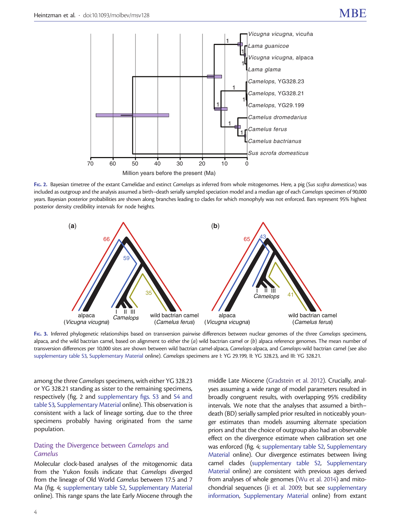<span id="page-3-0"></span>

FIG. 2. Bayesian timetree of the extant Camelidae and extinct Camelops as inferred from whole mitogenomes. Here, a pig (Sus scofra domesticus) was included as outgroup and the analysis assumed a birth-death serially sampled speciation model and a median age of each Camelops specimen of 90,000 years. Bayesian posterior probabilities are shown along branches leading to clades for which monophyly was not enforced. Bars represent 95% highest posterior density credibility intervals for node heights.



FIG. 3. Inferred phylogenetic relationships based on transversion pairwise differences between nuclear genomes of the three Camelops specimens, alpaca, and the wild bactrian camel, based on alignment to either the  $(a)$  wild bactrian camel or  $(b)$  alpaca reference genomes. The mean number of transversion differences per 10,000 sites are shown between wild bactrian camel-alpaca, Camelops-alpaca, and Camelops-wild bactrian camel (see also [supplementary table S3,](http://mbe.oxfordjournals.org/lookup/suppl/doi:10.1093/molbev/msv128/-/DC1) [Supplementary Material](http://mbe.oxfordjournals.org/lookup/suppl/doi:10.1093/molbev/msv128/-/DC1) online). Camelops specimens are I: YG 29.199, II: YG 328.23, and III: YG 328.21.

among the three Camelops specimens, with either YG 328.23 or YG 328.21 standing as sister to the remaining specimens, respectively (fig. 2 and [supplementary figs. S3](http://mbe.oxfordjournals.org/lookup/suppl/doi:10.1093/molbev/msv128/-/DC1) and [S4 and](http://mbe.oxfordjournals.org/lookup/suppl/doi:10.1093/molbev/msv128/-/DC1) [table S3,](http://mbe.oxfordjournals.org/lookup/suppl/doi:10.1093/molbev/msv128/-/DC1) [Supplementary Material](http://mbe.oxfordjournals.org/lookup/suppl/doi:10.1093/molbev/msv128/-/DC1) online). This observation is consistent with a lack of lineage sorting, due to the three specimens probably having originated from the same population.

# Dating the Divergence between Camelops and Camelus

Molecular clock-based analyses of the mitogenomic data from the Yukon fossils indicate that Camelops diverged from the lineage of Old World Camelus between 17.5 and 7 Ma [\(fig. 4;](#page-4-0) [supplementary table S2](http://mbe.oxfordjournals.org/lookup/suppl/doi:10.1093/molbev/msv128/-/DC1), [Supplementary Material](http://mbe.oxfordjournals.org/lookup/suppl/doi:10.1093/molbev/msv128/-/DC1) online). This range spans the late Early Miocene through the

middle Late Miocene ([Gradstein et al. 2012\)](#page-6-0). Crucially, analyses assuming a wide range of model parameters resulted in broadly congruent results, with overlapping 95% credibility intervals. We note that the analyses that assumed a birth– death (BD) serially sampled prior resulted in noticeably younger estimates than models assuming alternate speciation priors and that the choice of outgroup also had an observable effect on the divergence estimate when calibration set one was enforced [\(fig. 4](#page-4-0); [supplementary table S2](http://mbe.oxfordjournals.org/lookup/suppl/doi:10.1093/molbev/msv128/-/DC1), [Supplementary](http://mbe.oxfordjournals.org/lookup/suppl/doi:10.1093/molbev/msv128/-/DC1) [Material](http://mbe.oxfordjournals.org/lookup/suppl/doi:10.1093/molbev/msv128/-/DC1) online). Our divergence estimates between living camel clades [\(supplementary table S2](http://mbe.oxfordjournals.org/lookup/suppl/doi:10.1093/molbev/msv128/-/DC1), [Supplementary](http://mbe.oxfordjournals.org/lookup/suppl/doi:10.1093/molbev/msv128/-/DC1) [Material](http://mbe.oxfordjournals.org/lookup/suppl/doi:10.1093/molbev/msv128/-/DC1) online) are consistent with previous ages derived from analyses of whole genomes [\(Wu et al. 2014](#page-7-0)) and mitochondrial sequences [\(Ji et al. 2009](#page-6-0); but see [supplementary](http://mbe.oxfordjournals.org/lookup/suppl/doi:10.1093/molbev/msv128/-/DC1) [information](http://mbe.oxfordjournals.org/lookup/suppl/doi:10.1093/molbev/msv128/-/DC1), [Supplementary Material](http://mbe.oxfordjournals.org/lookup/suppl/doi:10.1093/molbev/msv128/-/DC1) online) from extant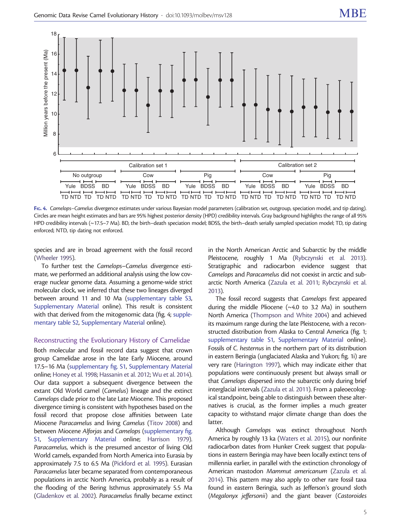<span id="page-4-0"></span>

FIG. 4. Camelops–Camelus divergence estimates under various Bayesian model parameters (calibration set, outgroup, speciation model, and tip dating). Circles are mean height estimates and bars are 95% highest posterior density (HPD) credibility intervals. Gray background highlights the range of all 95% HPD credibility intervals (~17.5–7 Ma). BD, the birth–death speciation model; BDSS, the birth–death serially sampled speciation model; TD, tip dating enforced; NTD, tip dating not enforced.

species and are in broad agreement with the fossil record ([Wheeler 1995](#page-7-0)).

To further test the Camelops–Camelus divergence estimate, we performed an additional analysis using the low coverage nuclear genome data. Assuming a genome-wide strict molecular clock, we inferred that these two lineages diverged between around 11 and 10 Ma [\(supplementary table S3,](http://mbe.oxfordjournals.org/lookup/suppl/doi:10.1093/molbev/msv128/-/DC1) [Supplementary Material](http://mbe.oxfordjournals.org/lookup/suppl/doi:10.1093/molbev/msv128/-/DC1) online). This result is consistent with that derived from the mitogenomic data (fig. 4; [supple](http://mbe.oxfordjournals.org/lookup/suppl/doi:10.1093/molbev/msv128/-/DC1)[mentary table S2,](http://mbe.oxfordjournals.org/lookup/suppl/doi:10.1093/molbev/msv128/-/DC1) [Supplementary Material](http://mbe.oxfordjournals.org/lookup/suppl/doi:10.1093/molbev/msv128/-/DC1) online).

#### Reconstructing the Evolutionary History of Camelidae

Both molecular and fossil record data suggest that crown group Camelidae arose in the late Early Miocene, around 17.5–16 Ma [\(supplementary fig. S1,](http://mbe.oxfordjournals.org/lookup/suppl/doi:10.1093/molbev/msv128/-/DC1) [Supplementary Material](http://mbe.oxfordjournals.org/lookup/suppl/doi:10.1093/molbev/msv128/-/DC1) online; [Honey et al. 1998;](#page-6-0) [Hassanin et al. 2012](#page-6-0); [Wu et al. 2014\)](#page-7-0). Our data support a subsequent divergence between the extant Old World camel (Camelus) lineage and the extinct Camelops clade prior to the late Late Miocene. This proposed divergence timing is consistent with hypotheses based on the fossil record that propose close affinities between Late Miocene Paracamelus and living Camelus ([Titov 2008](#page-7-0)) and between Miocene Alforjas and Camelops [\(supplementary fig.](http://mbe.oxfordjournals.org/lookup/suppl/doi:10.1093/molbev/msv128/-/DC1) [S1](http://mbe.oxfordjournals.org/lookup/suppl/doi:10.1093/molbev/msv128/-/DC1), [Supplementary Material](http://mbe.oxfordjournals.org/lookup/suppl/doi:10.1093/molbev/msv128/-/DC1) online; [Harrison 1979\)](#page-6-0). Paracamelus, which is the presumed ancestor of living Old World camels, expanded from North America into Eurasia by approximately 7.5 to 6.5 Ma [\(Pickford et al. 1995](#page-7-0)). Eurasian Paracamelus later became separated from contemporaneous populations in arctic North America, probably as a result of the flooding of the Bering Isthmus approximately 5.5 Ma ([Gladenkov et al. 2002](#page-6-0)). Paracamelus finally became extinct

in the North American Arctic and Subarctic by the middle Pleistocene, roughly 1 Ma [\(Rybczynski et al. 2013\)](#page-7-0). Stratigraphic and radiocarbon evidence suggest that Camelops and Paracamelus did not coexist in arctic and subarctic North America ([Zazula et al. 2011;](#page-7-0) [Rybczynski et al.](#page-7-0) [2013\)](#page-7-0).

The fossil record suggests that Camelops first appeared during the middle Pliocene  $(\sim 4.0$  to 3.2 Ma) in southern North America [\(Thompson and White 2004\)](#page-7-0) and achieved its maximum range during the late Pleistocene, with a reconstructed distribution from Alaska to Central America [\(fig. 1;](#page-1-0) [supplementary table S1](http://mbe.oxfordjournals.org/lookup/suppl/doi:10.1093/molbev/msv128/-/DC1), [Supplementary Material](http://mbe.oxfordjournals.org/lookup/suppl/doi:10.1093/molbev/msv128/-/DC1) online). Fossils of C. hesternus in the northern part of its distribution in eastern Beringia (unglaciated Alaska and Yukon; fig. 1i) are very rare [\(Harington 1997](#page-6-0)), which may indicate either that populations were continuously present but always small or that Camelops dispersed into the subarctic only during brief interglacial intervals [\(Zazula et al. 2011](#page-7-0)). From a paleoecological standpoint, being able to distinguish between these alternatives is crucial, as the former implies a much greater capacity to withstand major climate change than does the latter.

Although Camelops was extinct throughout North America by roughly 13 ka [\(Waters et al. 2015](#page-7-0)), our nonfinite radiocarbon dates from Hunker Creek suggest that populations in eastern Beringia may have been locally extinct tens of millennia earlier, in parallel with the extinction chronology of American mastodon Mammut americanum [\(Zazula](#page-7-0) et al. [2014\)](#page-7-0). This pattern may also apply to other rare fossil taxa found in eastern Beringia, such as Jefferson's ground sloth (Megalonyx jeffersonii) and the giant beaver (Castoroides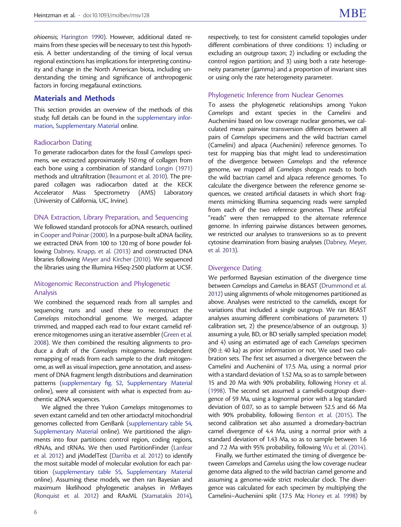ohioensis; [Harington 1990\)](#page-6-0). However, additional dated remains from these species will be necessary to test this hypothesis. A better understanding of the timing of local versus regional extinctions has implications for interpreting continuity and change in the North American biota, including understanding the timing and significance of anthropogenic factors in forcing megafaunal extinctions.

## Materials and Methods

This section provides an overview of the methods of this study; full details can be found in the [supplementary infor](http://mbe.oxfordjournals.org/lookup/suppl/doi:10.1093/molbev/msv128/-/DC1)[mation](http://mbe.oxfordjournals.org/lookup/suppl/doi:10.1093/molbev/msv128/-/DC1), [Supplementary Material](http://mbe.oxfordjournals.org/lookup/suppl/doi:10.1093/molbev/msv128/-/DC1) online.

#### Radiocarbon Dating

To generate radiocarbon dates for the fossil Camelops specimens, we extracted approximately 150 mg of collagen from each bone using a combination of standard [Longin \(1971\)](#page-7-0) methods and ultrafiltration [\(Beaumont et al. 2010\)](#page-6-0). The prepared collagen was radiocarbon dated at the KECK Accelerator Mass Spectrometry (AMS) Laboratory (University of California, UC, Irvine).

#### DNA Extraction, Library Preparation, and Sequencing

We followed standard protocols for aDNA research, outlined in [Cooper and Poinar \(2000\)](#page-6-0). In a purpose-built aDNA facility, we extracted DNA from 100 to 120 mg of bone powder following [Dabney, Knapp, et al. \(2013\)](#page-6-0) and constructed DNA libraries following [Meyer and Kircher \(2010\)](#page-7-0). We sequenced the libraries using the Illumina HiSeq-2500 platform at UCSF.

## Mitogenomic Reconstruction and Phylogenetic Analysis

We combined the sequenced reads from all samples and sequencing runs and used these to reconstruct the Camelops mitochondrial genome. We merged, adapter trimmed, and mapped each read to four extant camelid reference mitogenomes using an iterative assembler ([Green et al.](#page-6-0) [2008\)](#page-6-0). We then combined the resulting alignments to produce a draft of the Camelops mitogenome. Independent remapping of reads from each sample to the draft mitogenome, as well as visual inspection, gene annotation, and assessment of DNA fragment length distributions and deamination patterns ([supplementary fig. S2](http://mbe.oxfordjournals.org/lookup/suppl/doi:10.1093/molbev/msv128/-/DC1), [Supplementary Material](http://mbe.oxfordjournals.org/lookup/suppl/doi:10.1093/molbev/msv128/-/DC1) online), were all consistent with what is expected from authentic aDNA sequences.

We aligned the three Yukon Camelops mitogenomes to seven extant camelid and ten other artiodactyl mitochondrial genomes collected from GenBank [\(supplementary table S4,](http://mbe.oxfordjournals.org/lookup/suppl/doi:10.1093/molbev/msv128/-/DC1) [Supplementary Material](http://mbe.oxfordjournals.org/lookup/suppl/doi:10.1093/molbev/msv128/-/DC1) online). We partitioned the alignments into four partitions: control region, coding regions, rRNAs, and tRNAs. We then used PartitionFinder ([Lanfear](#page-6-0) [et al. 2012](#page-6-0)) and jModelTest [\(Darriba et al. 2012\)](#page-6-0) to identify the most suitable model of molecular evolution for each partition [\(supplementary table S5](http://mbe.oxfordjournals.org/lookup/suppl/doi:10.1093/molbev/msv128/-/DC1), [Supplementary Material](http://mbe.oxfordjournals.org/lookup/suppl/doi:10.1093/molbev/msv128/-/DC1) online). Assuming these models, we then ran Bayesian and maximum likelihood phylogenetic analyses in MrBayes ([Ronquist et al. 2012](#page-7-0)) and RAxML ([Stamatakis 2014\)](#page-7-0), respectively, to test for consistent camelid topologies under different combinations of three conditions: 1) including or excluding an outgroup taxon; 2) including or excluding the control region partition; and 3) using both a rate heterogeneity parameter (gamma) and a proportion of invariant sites or using only the rate heterogeneity parameter.

### Phylogenetic Inference from Nuclear Genomes

To assess the phylogenetic relationships among Yukon Camelops and extant species in the Camelini and Aucheniini based on low coverage nuclear genomes, we calculated mean pairwise transversion differences between all pairs of Camelops specimens and the wild bactrian camel (Camelini) and alpaca (Aucheniini) reference genomes. To test for mapping bias that might lead to underestimation of the divergence between Camelops and the reference genome, we mapped all Camelops shotgun reads to both the wild bactrian camel and alpaca reference genomes. To calculate the divergence between the reference genome sequences, we created artificial datasets in which short fragments mimicking Illumina sequencing reads were sampled from each of the two reference genomes. These artificial "reads" were then remapped to the alternate reference genome. In inferring pairwise distances between genomes, we restricted our analyses to transversions so as to prevent cytosine deamination from biasing analyses [\(Dabney, Meyer,](#page-6-0) [et al. 2013](#page-6-0)).

## Divergence Dating

We performed Bayesian estimation of the divergence time between Camelops and Camelus in BEAST [\(Drummond et al.](#page-6-0) [2012\)](#page-6-0) using alignments of whole mitogenomes partitioned as above. Analyses were restricted to the camelids, except for variations that included a single outgroup. We ran BEAST analyses assuming different combinations of parameters: 1) calibration set, 2) the presence/absence of an outgroup, 3) assuming a yule, BD, or BD serially sampled speciation model; and 4) using an estimated age of each Camelops specimen (90  $\pm$  40 ka) as prior information or not. We used two calibration sets. The first set assumed a divergence between the Camelini and Aucheniini of 17.5 Ma, using a normal prior with a standard deviation of 1.52 Ma, so as to sample between 15 and 20 Ma with 90% probability, following [Honey et al.](#page-6-0) [\(1998\).](#page-6-0) The second set assumed a camelid-outgroup divergence of 59 Ma, using a lognormal prior with a log standard deviation of 0.07, so as to sample between 52.5 and 66 Ma with 90% probability, following [Benton et al. \(2015\)](#page-6-0). The second calibration set also assumed a dromedary-bactrian camel divergence of 4.4 Ma, using a normal prior with a standard deviation of 1.43 Ma, so as to sample between 1.6 and 7.2 Ma with 95% probability, following [Wu et al. \(2014\).](#page-7-0)

Finally, we further estimated the timing of divergence between Camelops and Camelus using the low coverage nuclear genome data aligned to the wild bactrian camel genome and assuming a genome-wide strict molecular clock. The divergence was calculated for each specimen by multiplying the Camelini–Aucheniini split (17.5 Ma; [Honey et al. 1998\)](#page-6-0) by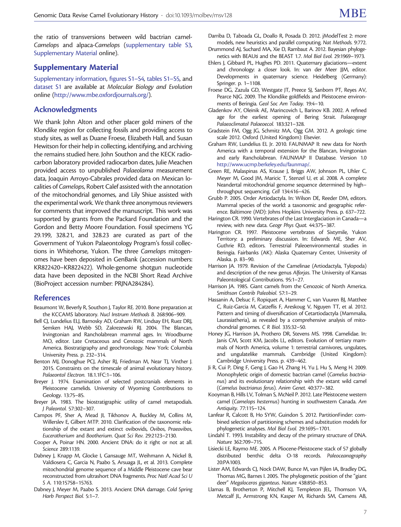<span id="page-6-0"></span>the ratio of transversions between wild bactrian camel-Camelops and alpaca-Camelops [\(supplementary table S3,](http://mbe.oxfordjournals.org/lookup/suppl/doi:10.1093/molbev/msv128/-/DC1) [Supplementary Material](http://mbe.oxfordjournals.org/lookup/suppl/doi:10.1093/molbev/msv128/-/DC1) online).

# Supplementary Material

[Supplementary information](http://mbe.oxfordjournals.org/lookup/suppl/doi:10.1093/molbev/msv128/-/DC1), [figures S1–S4,](http://mbe.oxfordjournals.org/lookup/suppl/doi:10.1093/molbev/msv128/-/DC1) [tables S1–S5,](http://mbe.oxfordjournals.org/lookup/suppl/doi:10.1093/molbev/msv128/-/DC1) and [dataset S1](http://mbe.oxfordjournals.org/lookup/suppl/doi:10.1093/molbev/msv128/-/DC1) are available at Molecular Biology and Evolution online ([http://www.mbe.oxfordjournals.org/\)](http://www.mbe.oxfordjournals.org/).

# Acknowledgments

We thank John Alton and other placer gold miners of the Klondike region for collecting fossils and providing access to study sites, as well as Duane Froese, Elizabeth Hall, and Susan Hewitson for their help in collecting, identifying, and archiving the remains studied here. John Southon and the KECK radiocarbon laboratory provided radiocarbon dates, Julie Meachen provided access to unpublished Palaeolama measurement data, Joaquin Arroyo-Cabrales provided data on Mexican localities of Camelops, Robert Calef assisted with the annotation of the mitochondrial genomes, and Lily Shiue assisted with the experimental work. We thank three anonymous reviewers for comments that improved the manuscript. This work was supported by grants from the Packard Foundation and the Gordon and Betty Moore Foundation. Fossil specimens YG 29.199, 328.21, and 328.23 are curated as part of the Government of Yukon Palaeontology Program's fossil collections in Whitehorse, Yukon. The three Camelops mitogenomes have been deposited in GenBank (accession numbers: KR822420–KR822422). Whole-genome shotgun nucleotide data have been deposited in the NCBI Short Read Archive (BioProject accession number: PRJNA284284).

## References

- Beaumont W, Beverly R, Southon J, Taylor RE. 2010. Bone preparation at the KCCAMS laboratory. Nucl Instrum Methods B. 268:906–909.
- Bell CJ, Lundelius ELJ, Barnosky AD, Graham RW, Lindsay EH, Ruez DRJ, Semken HAJ, Webb SD, Zakrezewski RJ. 2004. The Blancan, Irvingtonian and Rancholabrean mammal ages. In: Woodburne MO, editor. Late Cretaceous and Cenozoic mammals of North America. Biostratigraphy and geochronology. New York: Columbia University Press. p. 232–314.
- Benton MJ, Donoghue PCJ, Asher RJ, Friedman M, Near TJ, Vinther J. 2015. Constraints on the timescale of animal evolutionary history. Palaeontol Electron. 18.1.1FC:1–106.
- Breyer J. 1974. Examination of selected postcranials elements in Pleistocene camelids. University of Wyoming Contributions to Geology. 13:75–85.
- Breyer JA. 1983. The biostratigraphic utility of camel metapodials. J Paleontol. 57:302–307.
- Campos PF, Sher A, Mead JI, Tikhonov A, Buckley M, Collins M, Willerslev E, Gilbert MTP. 2010. Clarification of the taxonomic relationship of the extant and extinct ovibovids, Ovibos, Praeovibos, Euceratherium and Bootherium. Quat Sci Rev. 29:2123–2130.
- Cooper A, Poinar HN. 2000. Ancient DNA: do it right or not at all. Science 289:1139.
- Dabney J, Knapp M, Glocke I, Gansauge MT, Weihmann A, Nickel B, Valdiosera C, Garcia N, Paabo S, Arsuaga JL, et al. 2013. Complete mitochondrial genome sequence of a Middle Pleistocene cave bear reconstructed from ultrashort DNA fragments. Proc Natl Acad Sci U S A. 110:15758–15763.
- Dabney J, Meyer M, Paabo S. 2013. Ancient DNA damage. Cold Spring Harb Perspect Biol. 5:1–7.
- Darriba D, Taboada GL, Doallo R, Posada D. 2012. jModelTest 2: more models, new heuristics and parallel computing. Nat Methods. 9:772.
- Drummond AJ, Suchard MA, Xie D, Rambaut A. 2012. Bayesian phylogenetics with BEAUti and the BEAST 1.7. Mol Biol Evol. 29:1969–1973.
- Ehlers J, Gibbard PL, Hughes PD. 2011. Quaternary glaciations—extent and chronology: a closer look. In: van der Meer JJM, editor. Developments in quaternary science. Heidelberg (Germany): Springer. p. 1–1108.
- Froese DG, Zazula GD, Westgate JT, Preece SJ, Sanborn PT, Reyes AV, Pearce NJG. 2009. The Klondike goldfields and Pleistocene environments of Beringia. Geol Soc Am Today. 19:4–10.
- Gladenkov AY, Oleinik AE, Marincovich L, Barinov KB. 2002. A refined age for the earliest opening of Bering Strait. Palaeogeogr Palaeoclimatol Palaeoecol. 183:321–328.
- Gradstein FM, Ogg JG, Schmitz MA, Ogg GM. 2012. A geologic time scale 2012. Oxford (United Kingdom): Elsevier.
- Graham RW, Lundelius EL Jr. 2010. FAUNMAP II: new data for North America with a temporal extension for the Blancan, Irvingtonian and early Rancholabrean. FAUNMAP II Database. Version 1.0 [http://www.ucmp.berkeley.edu/faunmap/.](http://www.ucmp.berkeley.edu/faunmap/)
- Green RE, Malaspinas AS, Krause J, Briggs AW, Johnson PL, Uhler C, Meyer M, Good JM, Maricic T, Stenzel U, et al. 2008. A complete Neandertal mitochondrial genome sequence determined by high– throughput sequencing. Cell 134:416–426.
- Grubb P. 2005. Order Artiodactyla. In: Wilson DE, Reeder DM, editors. Mammal species of the world: a taxonomic and geographic reference. Baltimore (MD): Johns Hopkins University Press. p. 637–722.
- Harington CR. 1990. Vertebrates of the Last Interglaciation in Canada—a review, with new data. Geogr Phys Quat. 44:375–387.
- Harington CR. 1997. Pleistocene vertebrates of Sixtymile, Yukon Territory: a preliminary discussion. In: Edwards ME, Sher AV, Guthrie RD, editors. Terrestrial Paleoenvironmental studies in Beringia. Fairbanks (AK): Alaska Quaternary Center, University of Alaska. p. 83–90.
- Harrison JA. 1979. Revision of the Camelinae (Artiodactyla, Tylopoda) and description of the new genus Alforjas. The University of Kansas Paleontological Contributions. 95:1–27.
- Harrison JA. 1985. Giant camels from the Cenozoic of North America. Smithson Contrib Paleobiol. 57:1–29.
- Hassanin A, Delsuc F, Ropiquet A, Hammer C, van Vuuren BJ, Matthee C, Ruiz-Garcia M, Catzeflis F, Areskoug V, Nguyen TT, et al. 2012. Pattern and timing of diversification of Cetartiodactyla (Mammalia, Laurasiatheria), as revealed by a comprehensive analysis of mitochondrial genomes. C R Biol. 335:32–50.
- Honey JG, Harrison JA, Prothero DR, Stevens MS. 1998. Camelidae. In: Janis CM, Scott KM, Jacobs LL, editors. Evolution of tertiary mammals of North America, volume 1: terrestrial carnivores, ungulates, and ungulatelike mammals. Cambridge (United Kingdom): Cambridge University Press. p. 439–462.
- Ji R, Cui P, Ding F, Geng J, Gao H, Zhang H, Yu J, Hu S, Meng H. 2009. Monophyletic origin of domestic bactrian camel (Camelus bactrianus) and its evolutionary relationship with the extant wild camel (Camelus bactrianus ferus). Anim Genet. 40:377–382.
- Kooyman B, Hills LV, Tolman S, McNeil P. 2012. Late Pleistocene western camel (Camelops hesternus) hunting in southwestern Canada. Am Antiquity. 77:115–124.
- Lanfear R, Calcott B, Ho SYW, Guindon S. 2012. PartitionFinder: combined selection of partitioning schemes and substitution models for phylogenetic analyses. Mol Biol Evol. 29:1695–1701.
- Lindahl T. 1993. Instability and decay of the primary structure of DNA. Nature 362:709–715.
- Lisiecki LE, Raymo ME. 2005. A Pliocene-Pleistocene stack of 57 globally distributed benthic delta O-18 records. Paleoceanography 20:PA1003.
- Lister AM, Edwards CJ, Nock DAW, Bunce M, van Pijlen IA, Bradley DG, Thomas MG, Barnes I. 2005. The phylogenetic position of the "giant deer" Megaloceros giganteus. Nature 438:850–853.
- Llamas B, Brotherton P, Mitchell KJ, Templeton JEL, Thomson VA, Metcalf JL, Armstrong KN, Kasper M, Richards SM, Camens AB,